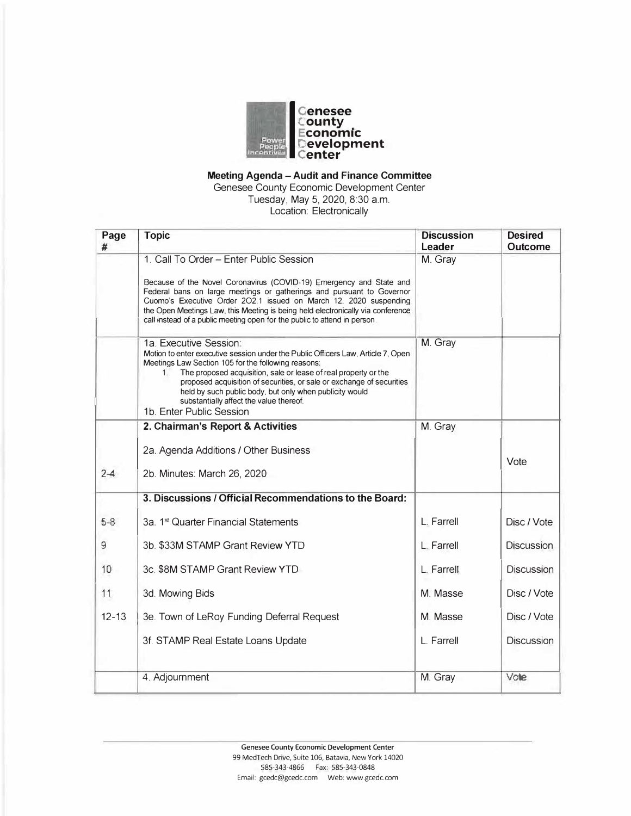

# **Meeting Agenda - Audit and Finance Committee**

Genesee County Economic Development Center Tuesday, May 5, 2020, 8:30 a.m. Location: Electronically

| Page      | <b>Topic</b>                                                                                                                                                 | <b>Discussion</b> | <b>Desired</b>    |
|-----------|--------------------------------------------------------------------------------------------------------------------------------------------------------------|-------------------|-------------------|
| #         |                                                                                                                                                              | Leader            | <b>Outcome</b>    |
|           | 1. Call To Order - Enter Public Session                                                                                                                      | M. Gray           |                   |
|           | Because of the Novel Coronavirus (COVID-19) Emergency and State and                                                                                          |                   |                   |
|           | Federal bans on large meetings or gatherings and pursuant to Governor                                                                                        |                   |                   |
|           | Cuomo's Executive Order 202.1 issued on March 12, 2020 suspending                                                                                            |                   |                   |
|           | the Open Meetings Law, this Meeting is being held electronically via conference<br>call instead of a public meeting open for the public to attend in person. |                   |                   |
|           |                                                                                                                                                              |                   |                   |
|           | 1a. Executive Session:                                                                                                                                       | M. Gray           |                   |
|           | Motion to enter executive session under the Public Officers Law, Article 7, Open                                                                             |                   |                   |
|           | Meetings Law Section 105 for the following reasons:<br>The proposed acquisition, sale or lease of real property or the<br>$1_{-}$                            |                   |                   |
|           | proposed acquisition of securities, or sale or exchange of securities                                                                                        |                   |                   |
|           | held by such public body, but only when publicity would                                                                                                      |                   |                   |
|           | substantially affect the value thereof.<br>1b. Enter Public Session                                                                                          |                   |                   |
|           | 2. Chairman's Report & Activities                                                                                                                            | M. Gray           |                   |
|           |                                                                                                                                                              |                   |                   |
|           | 2a. Agenda Additions / Other Business                                                                                                                        |                   |                   |
|           |                                                                                                                                                              |                   | Vote              |
| $2-4$     | 2b. Minutes: March 26, 2020                                                                                                                                  |                   |                   |
|           | 3. Discussions / Official Recommendations to the Board:                                                                                                      |                   |                   |
| $5 - 8$   | 3a. 1 <sup>st</sup> Quarter Financial Statements                                                                                                             | L. Farrell        | Disc / Vote       |
|           |                                                                                                                                                              |                   |                   |
| 9.        | 3b. \$33M STAMP Grant Review YTD                                                                                                                             | L. Farrell        | <b>Discussion</b> |
| 10        | 3c. \$8M STAMP Grant Review YTD                                                                                                                              | L. Farrell        | <b>Discussion</b> |
|           |                                                                                                                                                              |                   |                   |
| 11        | 3d. Mowing Bids                                                                                                                                              | M. Masse          | Disc / Vote       |
| $12 - 13$ | 3e. Town of LeRoy Funding Deferral Request                                                                                                                   | M. Masse          | Disc / Vote       |
|           |                                                                                                                                                              |                   |                   |
|           | 3f. STAMP Real Estate Loans Update                                                                                                                           | L. Farrell        | <b>Discussion</b> |
|           | 4. Adjournment                                                                                                                                               | M. Gray           | Vote              |
|           |                                                                                                                                                              |                   |                   |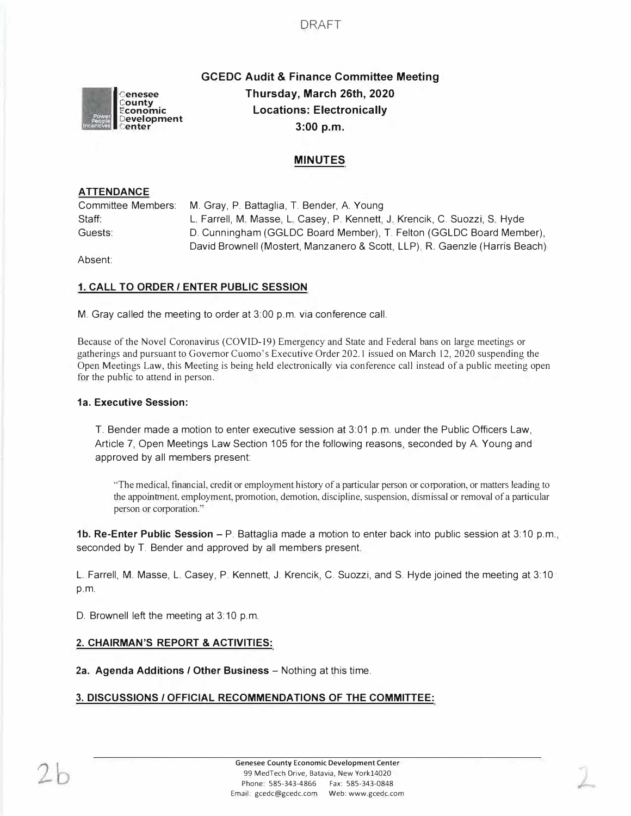

# **GCEDC Audit & Finance Committee Meeting Thursday, March 26th, 2020 Locations: Electronically 3:00 p.m.**

# **MINUTES**

# **ATTENDANCE**

| Committee Members: | M. Gray, P. Battaglia, T. Bender, A. Young                                  |
|--------------------|-----------------------------------------------------------------------------|
| Staff:             | L. Farrell, M. Masse, L. Casey, P. Kennett, J. Krencik, C. Suozzi, S. Hyde  |
| Guests:            | D. Cunningham (GGLDC Board Member), T. Felton (GGLDC Board Member),         |
|                    | David Brownell (Mostert, Manzanero & Scott, LLP), R. Gaenzle (Harris Beach) |

Absent:

# **1. CALL TO ORDER/ ENTER PUBLIC SESSION**

M. Gray called the meeting to order at 3:00 p.m. via conference call.

Because of the Novel Coronavirus (COVID-19) Emergency and State and Federal bans on large meetings or gatherings and pursuant to Governor Cuomo's Executive Order 202.1 issued on March 12, 2020 suspending the Open Meetings Law, this Meeting is being held electronically via conference call instead of a public meeting open for the public to attend in person.

# **1a. Executive Session:**

T. Bender made a motion to enter executive session at 3:01 p.m. under the Public Officers Law, Article 7, Open Meetings Law Section 105 for the following reasons, seconded by A. Young and approved by all members present:

·'The medical, financial, credit or employment history of a particular person or corporation, or matters leading to the appointment, employment, promotion, demotion, discipline, suspension, dismissal or removal of a particular person or corporation."

**1b. Re-Enter Public Session** - P. Battaglia made a motion to enter back into public session at 3:10 p.m., seconded by T. Bender and approved by all members present.

L. Farrell, M. Masse, L. Casey, P. Kennett, J. Krencik, C. Suozzi, and S. Hyde joined the meeting at 3: 10 p.m.

D. Brownell left the meeting at 3:10 p.m.

# **2. CHAIRMAN'S REPORT & ACTIVITIES:**

**2a. Agenda Additions / Other Business - Nothing at this time.** 

# **3. DISCUSSIONS / OFFICIAL RECOMMENDATIONS OF THE COMMITTEE:**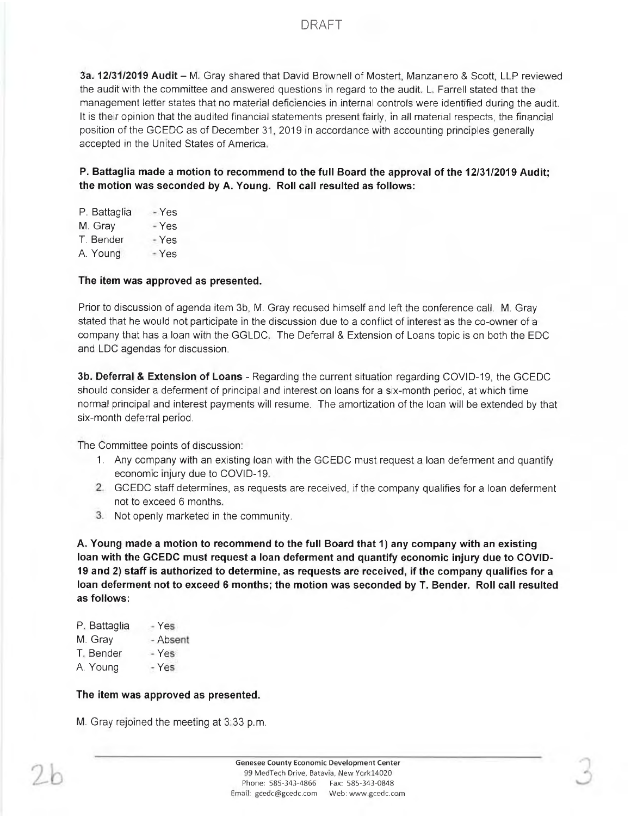3a. 12/31/2019 Audit - M. Gray shared that David Brownell of Mostert, Manzanero & Scott, LLP reviewed the audit with the committee and answered questions in regard to the audit. L. Farrell stated that the management letter states that no material deficiencies in internal controls were identified during the audit. It is their opinion that the audited financial statements present fairly, in all material respects, the financial position of the GCEDC as of December 31, 2019 in accordance with accounting principles generally accepted in the United States of America.

P. Battaglia made a motion to recommend to the full Board the approval of the 12/31/2019 Audit; the motion was seconded by A. Young. Roll call resulted as follows:

| P. Battaglia | - Yes |
|--------------|-------|
| M. Gray      | - Yes |
| T. Bender    | - Yes |
| A. Young     | - Yes |

## The item was approved as presented.

Prior to discussion of agenda item 3b, M. Gray recused himself and left the conference call. M. Gray stated that he would not participate in the discussion due to a conflict of interest as the co-owner of a company that has a loan with the GGLDC. The Deferral & Extension of Loans topic is on both the EDC and LDC agendas for discussion.

3b. Deferral & Extension of Loans - Regarding the current situation regarding COVID-19, the GCEDC should consider a deferment of principal and interest on loans for a six-month period, at which time normal principal and interest payments will resume. The amortization of the loan will be extended by that six-month deferral period.

The Committee points of discussion:

- 1. Any company with an existing loan with the GCEDC must request a loan deferment and quantify economic injury due to COVID-19.
- 2. GCEDC staff determines, as requests are received, if the company qualifies for a loan deferment not to exceed 6 months.
- 3. Not openly marketed in the community.

A. Young made a motion to recommend to the full Board that 1) any company with an existing loan with the GCEDC must request a loan deferment and quantify economic injury due to COVID-19 and 2) staff is authorized to determine, as requests are received, if the company qualifies for a loan deferment not to exceed 6 months; the motion was seconded by T. Bender. Roll call resulted as follows:

| P. Battaglia | Yes.     |
|--------------|----------|
| M. Gray      | - Absent |

- T. Bender  $-Yes$
- A. Young  $-Yes$

# The item was approved as presented.

M. Gray rejoined the meeting at 3.33 p.m.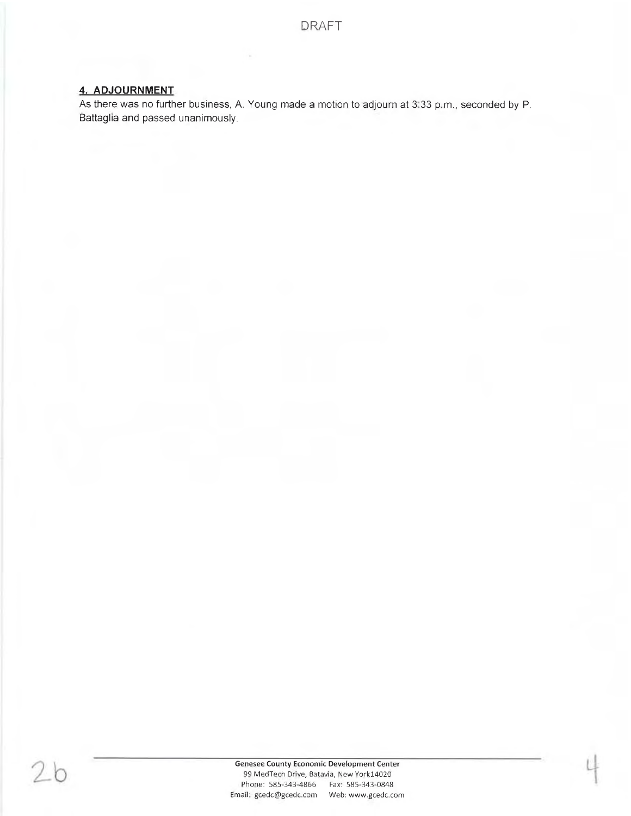# 4. ADJOURNMENT

As there was no further business, A. Young made a motion to adjourn at 3:33 p.m., seconded by P. Battaglia and passed unanimously.

26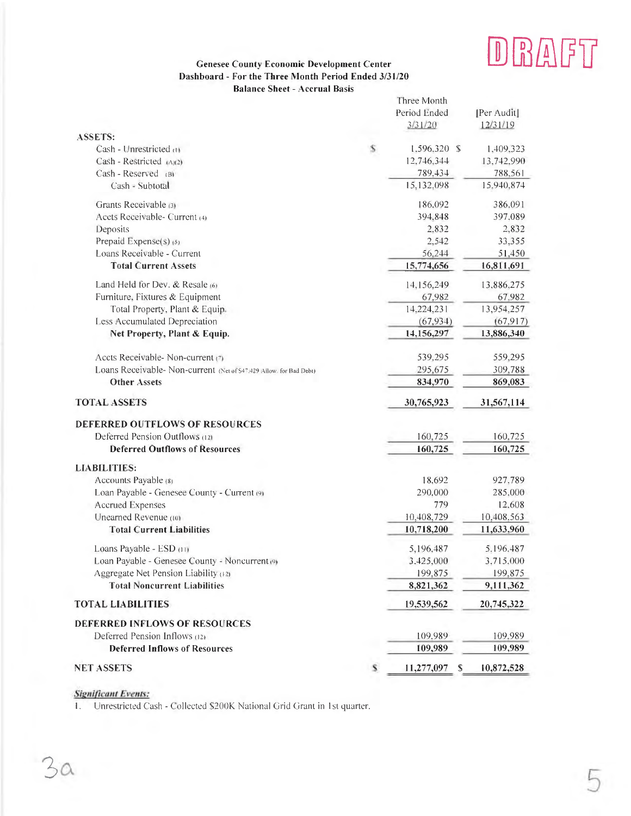# DRAFT

### **Genesee County Economic Development Center** Dashboard - For the Three Month Period Ended 3/31/20 **Balance Sheet - Accrual Basis**

|                                                                     |   | Three Month     |             |
|---------------------------------------------------------------------|---|-----------------|-------------|
|                                                                     |   | Period Ended    | [Per Audit] |
|                                                                     |   | 3/31/20         | 12/31/19    |
| <b>ASSETS:</b>                                                      |   |                 |             |
| Cash - Unrestricted (1)                                             | s | 1,596,320 \$    | 1,409,323   |
| Cash - Restricted $(A)(2)$                                          |   | 12,746,344      | 13,742,990  |
| Cash - Reserved (B)                                                 |   | 789,434         | 788,561     |
| Cash - Subtotal                                                     |   | 15,132,098      | 15,940,874  |
| Grants Receivable (3)                                               |   | 186.092         | 386,091     |
| Accts Receivable- Current (4)                                       |   | 394,848         | 397.089     |
| Deposits                                                            |   | 2.832           | 2,832       |
| Prepaid Expense(s) (5)                                              |   | 2,542           | 33,355      |
| Loans Receivable - Current                                          |   | 56,244          | 51,450      |
| <b>Total Current Assets</b>                                         |   | 15,774,656      | 16,811,691  |
| Land Held for Dev. & Resale (6)                                     |   | 14,156,249      | 13,886,275  |
| Furniture, Fixtures & Equipment                                     |   | 67,982          | 67,982      |
| Total Property, Plant & Equip.                                      |   | 14,224,231      | 13,954,257  |
| <b>Less Accumulated Depreciation</b>                                |   | (67, 934)       | (67, 917)   |
| Net Property, Plant & Equip.                                        |   | 14,156,297      | 13,886,340  |
| Accts Receivable- Non-current (7)                                   |   | 539,295         | 559,295     |
| Loans Receivable- Non-current (Net of \$47,429 Allow, for Bad Debt) |   | 295,675         | 309,788     |
| <b>Other Assets</b>                                                 |   | 834,970         | 869,083     |
| <b>TOTAL ASSETS</b>                                                 |   | 30,765,923      | 31,567,114  |
| <b>DEFERRED OUTFLOWS OF RESOURCES</b>                               |   |                 |             |
| Deferred Pension Outflows (12)                                      |   | 160,725         | 160,725     |
| <b>Deferred Outflows of Resources</b>                               |   | 160,725         | 160,725     |
| <b>LIABILITIES:</b>                                                 |   |                 |             |
| Accounts Payable (8)                                                |   | 18,692          | 927,789     |
| Loan Payable - Genesee County - Current (9)                         |   | 290,000         | 285,000     |
| <b>Accrued Expenses</b>                                             |   | 779             | 12,608      |
| Unearned Revenue (10)                                               |   | 10,408,729      | 10,408,563  |
| <b>Total Current Liabilities</b>                                    |   | 10,718,200      | 11,633,960  |
| Loans Payable - ESD (11)                                            |   | 5,196,487       | 5.196.487   |
| Loan Payable - Genesee County - Noncurrent (9)                      |   | 3.425,000       | 3,715,000   |
| Aggregate Net Pension Liability (12)                                |   | 199,875         | 199,875     |
| <b>Total Noncurrent Liabilities</b>                                 |   | 8,821,362       | 9,111,362   |
| <b>TOTAL LIABILITIES</b>                                            |   | 19,539,562      | 20,745,322  |
| DEFERRED INFLOWS OF RESOURCES                                       |   |                 |             |
| Deferred Pension Inflows (12)                                       |   | 109.989         | 109,989     |
| <b>Deferred Inflows of Resources</b>                                |   | 109,989         | 109,989     |
| <b>NET ASSETS</b>                                                   | s | 11,277,097<br>S | 10,872,528  |

# **Significant Events:**

1. Unrestricted Cash - Collected \$200K National Grid Grant in 1st quarter.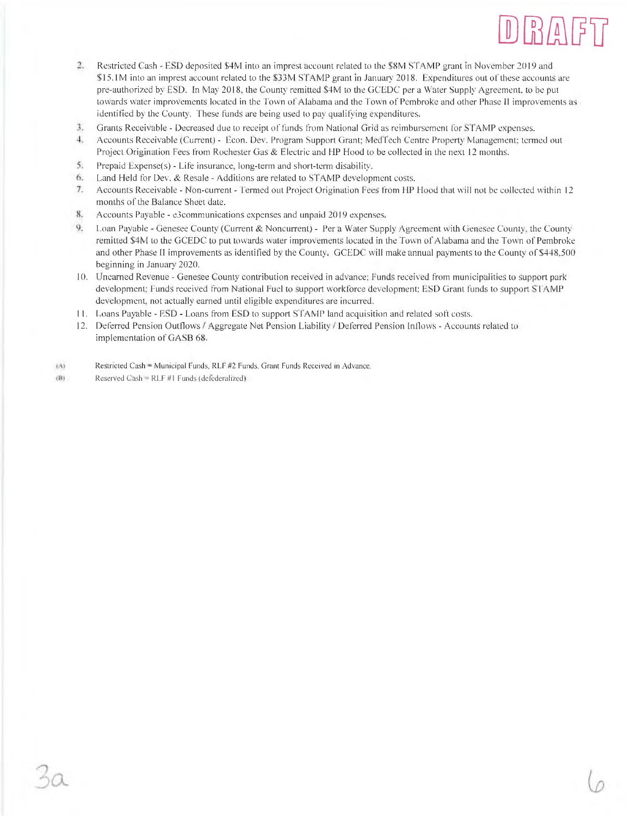

- 2. Restricted Cash ESD deposited \$4M into an imprest account related to the \$8M STAMP grant in November 2019 and \$15.1M into an imprest account related to the \$33M STAMP grant in January 2018. Expenditures out of these accounts are pre-authorized by ESD. In May 2018, the County remitted \$4M to the GCEDC per a Water Supply Agreement, to be put towards water improvements located in the Town of Alabama and the Town of Pembroke and other Phase II improvements as identified by the County. These funds are being used to pay qualifying expenditures,
- $\mathfrak{X}$ Grants Receivable - Decreased due to receipt of funds from National Grid as reimbursement for STAMP expenses.
- Accounts Receivable (Current) Econ. Dev. Program Support Grant; MedTech Centre Property Management; termed out 4. Project Origination Fees from Rochester Gas & Electric and HP Hood to be collected in the next 12 months.
- 5. Prepaid Expense(s) Life insurance, long-term and short-term disability.
- 6. Land Held for Dev. & Resale Additions are related to STAMP development costs.
- $7.$ Accounts Receivable - Non-current - Termed out Project Origination Fees from HP Hood that will not be collected within 12 months of the Balance Sheet date.
- 8. Accounts Payable - e3communications expenses and unpaid 2019 expenses.
- 9. Loan Payable - Genesee County (Current & Noncurrent) - Per a Water Supply Agreement with Genesee County, the County remitted \$4M to the GCEDC to put towards water improvements located in the Town of Alabama and the Town of Pembroke and other Phase II improvements as identified by the County. GCEDC will make annual payments to the County of \$448,500 beginning in January 2020.
- 10. Unearned Revenue Genesee County contribution received in advance; Funds received from municipalities to support park development; Funds received from National Fuel to support workforce development; ESD Grant funds to support STAMP development, not actually earned until eligible expenditures are incurred.
- 11. Loans Payable ESD Loans from ESD to support STAMP land acquisition and related soft costs.
- 12. Deferred Pension Outflows / Aggregate Net Pension Liability / Deferred Pension Inflows Accounts related to implementation of GASB 68.
- Restricted Cash = Municipal Funds, RLF #2 Funds, Grant Funds Received in Advance. (A)
- $(B)$ Reserved Cash = RLF #1 Funds (defederalized)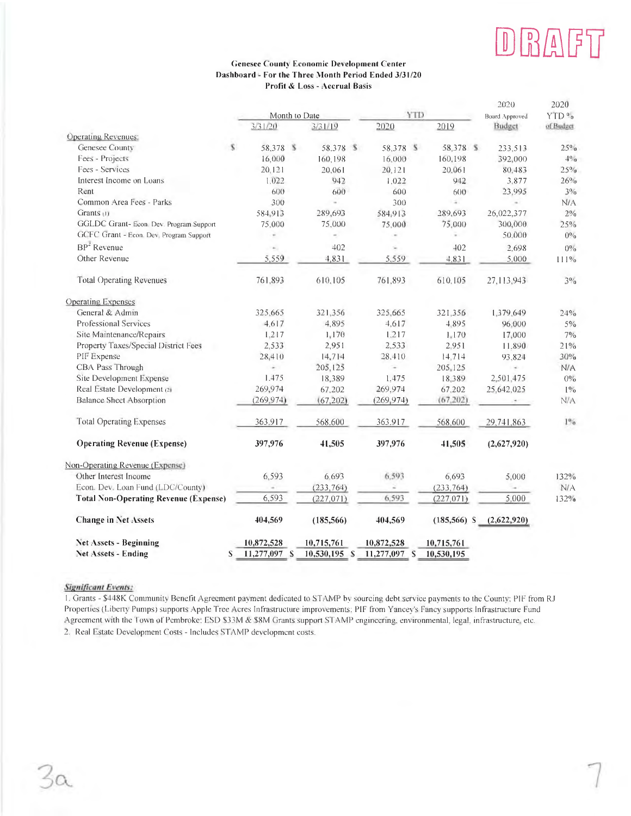# **BAFT**  $|\mathbb{U}|$

### **Genesee County Economic Development Center** Dashboard - For the Three Month Period Ended 3/31/20 Profit & Loss - Accrual Basis

|                                              |              |                 |                |                | 2020                  | 2020           |
|----------------------------------------------|--------------|-----------------|----------------|----------------|-----------------------|----------------|
|                                              |              | Month to Date   |                | YID            | <b>Board Approved</b> | YTD%           |
|                                              | 3/31/20      | 3/31/19         | 2020           | 2019           | Budget                | of Budget      |
| <b>Operating Revenues:</b>                   |              |                 |                |                |                       |                |
| Genesee County<br>s.                         | 58.378 %     | 58.378 \$       | 58.378 \$      | 58.378 \$      | 233,513               | $25\%$         |
| Fees - Projects                              | 16,000       | 160,198         | 16,000         | 160,198        | 392,000               | $4\%$          |
| Fees - Services                              | 20.121       | 20,061          | 20, 121        | 20.061         | 80.483                | 25%            |
| Interest Income on Loans                     | 1.022        | 942             | 1,022          | 942            | 3.877                 | 26%            |
| Rent                                         | 600          | 600             | 600            | 600            | 23,995                | $3\%$          |
| Common Area Fees - Parks                     | 300          | c               | 300            | ź.             |                       | N/A            |
| Grants (1)                                   | 584.913      | 289,693         | 584,913        | 289.693        | 26,022,377            | $2\%$          |
| GGLDC Grant-Econ. Dev. Program Support       | 75,000       | 75,000          | 75.000         | 75,000         | 300,000               | 25%            |
| GCFC Grant - Econ. Dev. Program Support      |              | i.              | $\overline{a}$ | ÷.             | 50,000                | $0^{0/6}$      |
| $BP2$ Revenue                                | ×.           | 402             |                | 402            | 2,698                 | $0\%$          |
| Other Revenue                                | 5.559        | 4,831           | 5,559          | 4.831          | 5.000                 | 111%           |
| <b>Total Operating Revenues</b>              | 761,893      | 610.105         | 761,893        | 610,105        | 27, 113, 943          | $3\%$          |
| <b>Operating Expenses</b>                    |              |                 |                |                |                       |                |
| General & Admin                              | 325,665      | 321,356         | 325.665        | 321.356        | 1,379,649             | 24%            |
| Professional Services                        | 4.617        | 4.895           | 4,617          | 4.895          | 96.000                | $5\%$          |
| Site Maintenance/Repairs                     | 1.217        | 1,170           | 1.217          | 1.170          | 17,000                | $7\frac{0}{0}$ |
| Property Taxes/Special District Fees         | 2,533        | 2,951           | 2.533          | 2.951          | 11.890                | 21%            |
| PIF Expense                                  | 28,410       | 14,714          | 28.410         | 14,714         | 93,824                | 30%            |
| CBA Pass Through                             | ÷            | 205,125         | ç              | 205,125        | $\sim$                | N/A            |
| Site Development Expense                     | 1.475        | 18,389          | 1.475          | 18.389         | 2,501,475             | $0\%$          |
| Real Estate Development (2)                  | 269,974      | 67,202          | 269.974        | 67,202         | 25,642,025            | $1\%$          |
| <b>Balance Sheet Absorption</b>              | (269, 974)   | (67, 202)       | (269, 974)     | (67, 202)      |                       | N/A            |
| <b>Total Operating Expenses</b>              | 363,917      | 568.600         | 363,917        | 568,600        | 29,741,863            | $1\%$          |
| <b>Operating Revenue (Expense)</b>           | 397,976      | 41,505          | 397,976        | 41,505         | (2,627,920)           |                |
| Non-Operating Revenue (Expense)              |              |                 |                |                |                       |                |
| Other Interest Income                        | 6,593        | 6.693           | 6,593          | 6.693          | 5,000                 | 132%           |
| Econ. Dev. Loan Fund (LDC/County)            |              | (233, 764)      |                | (233, 764)     |                       | N/A            |
| <b>Total Non-Operating Revenue (Expense)</b> | 6,593        | (227, 071)      | 6,593          | (227, 071)     | 5,000                 | 132%           |
| <b>Change in Net Assets</b>                  | 404,569      | (185, 566)      | 404,569        | $(185, 566)$ S | (2,622,920)           |                |
| <b>Net Assets - Beginning</b>                | 10,872,528   | 10,715,761      | 10,872,528     | 10,715,761     |                       |                |
| Net Assets - Ending<br>S                     | 11,277,097 S | $10,530,195$ \$ | 11,277,097 S   | 10,530,195     |                       |                |

#### **Significant Events:**

1. Grants - \$448K Community Benefit Agreement payment dedicated to STAMP by sourcing debt service payments to the County; PIF from RJ Properties (Liberty Pumps) supports Apple Tree Acres Infrastructure improvements; PIF from Yancey's Fancy supports Infrastructure Fund Agreement with the Town of Pembroke: ESD \$33M & \$8M Grants support STAMP engineering, environmental, legal, infrastructure, etc. 2. Real Estate Development Costs - Includes STAMP development costs.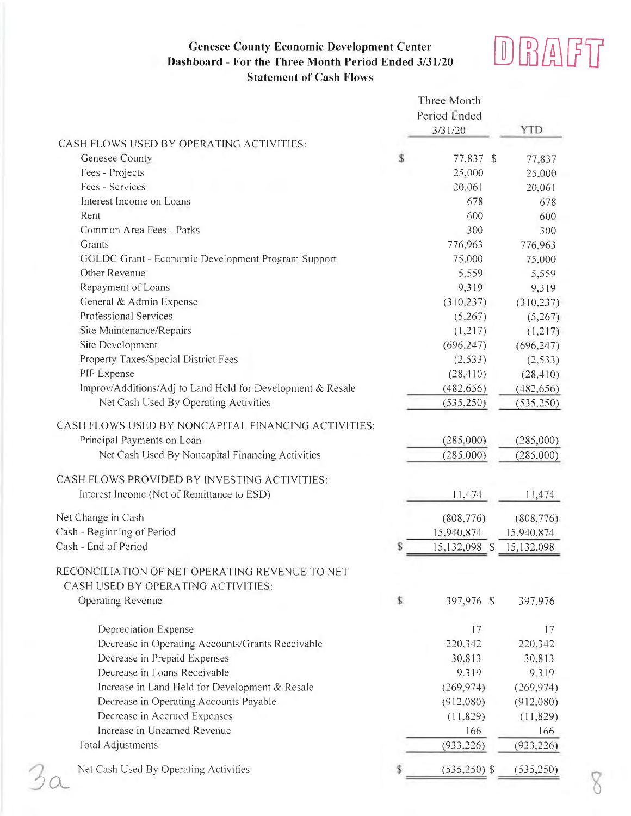# **Genesee County Economic Development Center** Dashboard - For the Three Month Period Ended 3/31/20 **Statement of Cash Flows**



|                                                                                            |    | Three Month<br>Period Ended<br>3/31/20 | <b>YTD</b> |
|--------------------------------------------------------------------------------------------|----|----------------------------------------|------------|
| CASH FLOWS USED BY OPERATING ACTIVITIES:                                                   |    |                                        |            |
| Genesee County                                                                             | S  | 77,837 \$                              | 77,837     |
| Fees - Projects                                                                            |    | 25,000                                 | 25,000     |
| Fees - Services                                                                            |    | 20,061                                 | 20,061     |
| Interest Income on Loans                                                                   |    | 678                                    | 678        |
| Rent                                                                                       |    | 600                                    | 600        |
| Common Area Fees - Parks                                                                   |    | 300                                    | 300        |
| Grants                                                                                     |    | 776,963                                | 776,963    |
| GGLDC Grant - Economic Development Program Support                                         |    | 75,000                                 | 75,000     |
| Other Revenue                                                                              |    | 5,559                                  | 5,559      |
| Repayment of Loans                                                                         |    | 9,319                                  | 9,319      |
| General & Admin Expense                                                                    |    | (310, 237)                             | (310, 237) |
| Professional Services                                                                      |    | (5,267)                                | (5,267)    |
| Site Maintenance/Repairs                                                                   |    | (1,217)                                | (1,217)    |
| Site Development                                                                           |    | (696, 247)                             | (696, 247) |
| Property Taxes/Special District Fees                                                       |    | (2, 533)                               | (2, 533)   |
| PIF Expense                                                                                |    | (28, 410)                              | (28, 410)  |
| Improv/Additions/Adj to Land Held for Development & Resale                                 |    | (482, 656)                             | (482, 656) |
| Net Cash Used By Operating Activities                                                      |    | (535, 250)                             | (535, 250) |
| CASH FLOWS USED BY NONCAPITAL FINANCING ACTIVITIES:<br>Principal Payments on Loan          |    | (285,000)                              | (285,000)  |
| Net Cash Used By Noncapital Financing Activities                                           |    | (285,000)                              | (285,000)  |
| CASH FLOWS PROVIDED BY INVESTING ACTIVITIES:<br>Interest Income (Net of Remittance to ESD) |    | 11,474                                 | 11,474     |
| Net Change in Cash                                                                         |    | (808, 776)                             | (808, 776) |
| Cash - Beginning of Period                                                                 |    | 15,940,874                             | 15,940,874 |
| Cash - End of Period                                                                       | S  | 15,132,098 \$                          | 15,132,098 |
| RECONCILIATION OF NET OPERATING REVENUE TO NET<br>CASH USED BY OPERATING ACTIVITIES:       |    |                                        |            |
| <b>Operating Revenue</b>                                                                   | \$ | 397,976 \$                             | 397,976    |
| <b>Depreciation Expense</b>                                                                |    | 17                                     | 17         |
| Decrease in Operating Accounts/Grants Receivable                                           |    | 220,342                                | 220,342    |
| Decrease in Prepaid Expenses                                                               |    | 30.813                                 | 30,813     |
| Decrease in Loans Receivable                                                               |    | 9.319                                  | 9.319      |
| Increase in Land Held for Development & Resale                                             |    | (269, 974)                             | (269, 974) |
| Decrease in Operating Accounts Payable                                                     |    | (912,080)                              | (912,080)  |
| Decrease in Accrued Expenses                                                               |    | (11,829)                               | (11, 829)  |
| Increase in Unearned Revenue                                                               |    | 166                                    | 166        |
| Total Adjustments                                                                          |    | (933, 226)                             | (933, 226) |
| Net Cash Used By Operating Activities                                                      |    | $(535, 250)$ \$                        | (535, 250) |
|                                                                                            |    |                                        |            |

8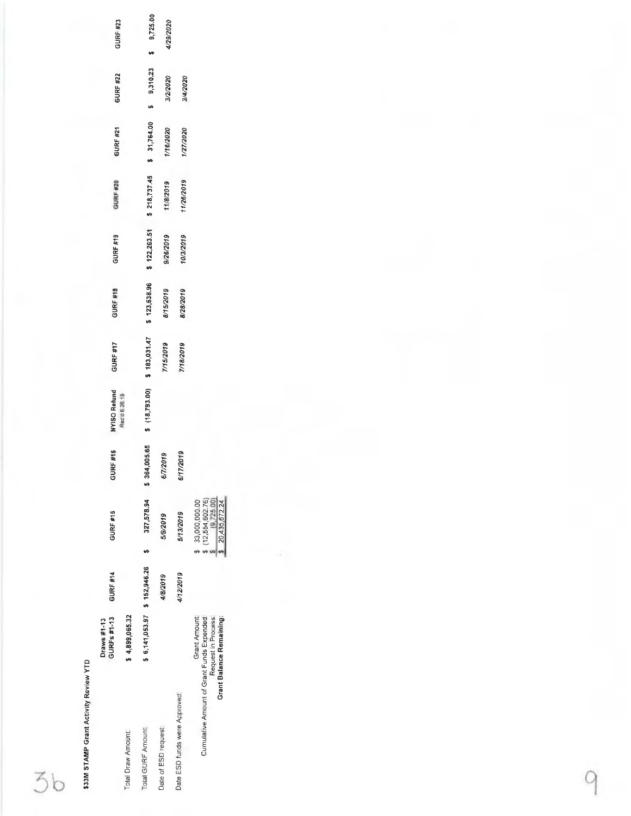\$33M STAMP Grant Activity Review YTD

36

|                                           | GURFs #1-13<br>Draws #1-13                                     | GURF #14  | GURF #15                                                           | RF #16<br>5           | NYISO Refund  | GURF #17                     | GURF #18     | GURF #19  | GURF #20                                 | GURF #21  | GURF #22   | GURF #23   |
|-------------------------------------------|----------------------------------------------------------------|-----------|--------------------------------------------------------------------|-----------------------|---------------|------------------------------|--------------|-----------|------------------------------------------|-----------|------------|------------|
| <b>Total Draw Amount</b>                  | \$4,899,065.32                                                 |           |                                                                    |                       | Rec'd 6 26.19 |                              |              |           |                                          |           |            |            |
| Total GURF Amount                         | \$6,141,053.97 \$152,946.26                                    |           | 327,578.94                                                         | 005.65<br><b>\$36</b> |               | \$ (18,793.00) \$ 183,031.47 | \$123,638.96 |           | $$122,263.51$ $$218,737.45$ $$31,764.00$ |           | \$9,310.23 | \$9,725.00 |
| Date of ESD request:                      |                                                                | 4/8/2019  | 5/9/2019                                                           | 72019<br>67)          |               | 7/15/2019                    | 8/15/2019    | 9/26/2019 | 11/8/2019                                | 1/16/2020 | 3/2/2020   | 4/29/2020  |
| Date ESD funds were Approved:             |                                                                | 4/12/2019 | 5/13/2019                                                          | /2019<br>6/17         |               | 7/18/2019                    | 8/28/2019    | 10/3/2019 | 11/26/2019                               | 1/27/2020 | 3/4/2020   |            |
| Cumulative Amount of Grant Funds Expended | Grant Amount<br>Grant Balance Remaining:<br>Request in Process |           | (12,554,602.76)<br>[9.725,00]<br>33,000,000.00<br>\$ 20,435,672.24 |                       |               |                              |              |           |                                          |           |            |            |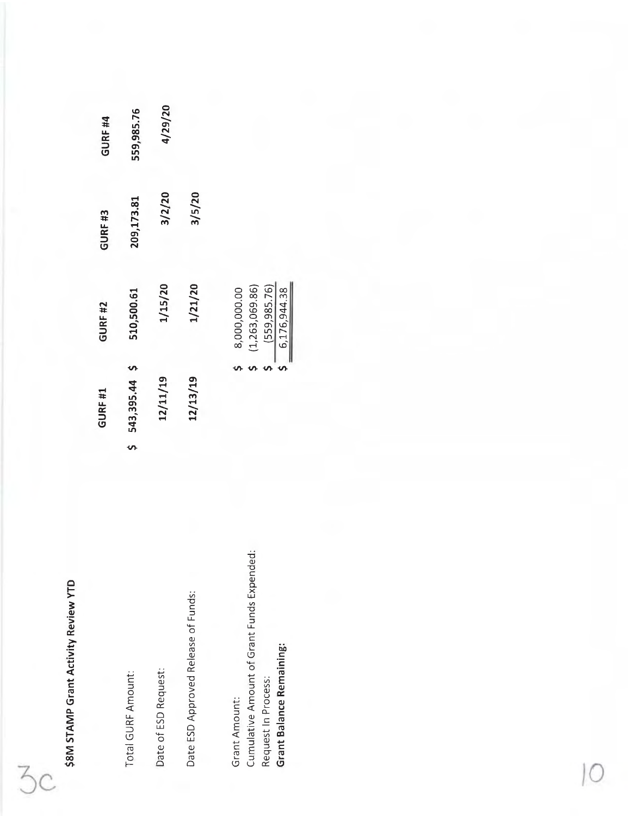\$8M STAMP Grant Activity Review YTD

 $3c$ 

| į,<br>3 |
|---------|
| ŭ       |
| 1       |
|         |

Date of ESD Request:

Date ESD Approved Release of Funds:

Cumulative Amount of Grant Funds Expended: **Grant Balance Remaining:** Request In Process: Grant Amount:

 $\frac{(559,985.76)}{6,176,944.38}$ 

 $\frac{1}{2}$ 

| 559,985.76    | 4/29/20  |          |                                |
|---------------|----------|----------|--------------------------------|
| 209,173.81    | 3/2/20   | 3/5/20   |                                |
| 510,500.61    | 1/15/20  | 1/21/20  | (1,263,069.86)<br>8,000,000.00 |
|               |          |          |                                |
| 543,395.44 \$ | 12/11/19 | 12/13/19 |                                |
| S             |          |          |                                |

GURF<sub>#4</sub>

GURF<sub>#3</sub>

GURF #2

GURF #1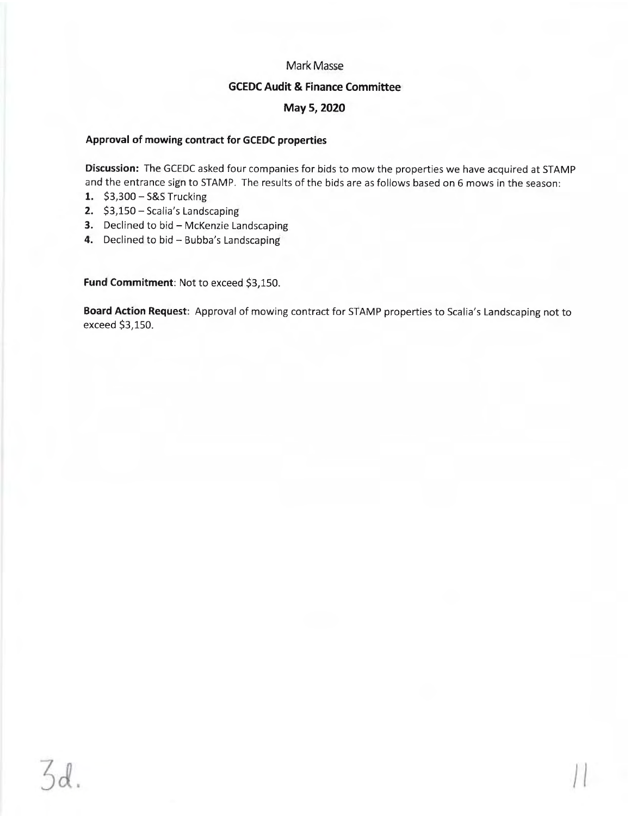# **Mark Masse**

# **GCEDC Audit & Finance Committee**

# May 5, 2020

### Approval of mowing contract for GCEDC properties

Discussion: The GCEDC asked four companies for bids to mow the properties we have acquired at STAMP and the entrance sign to STAMP. The results of the bids are as follows based on 6 mows in the season:

- 1. \$3,300 S&S Trucking
- 2. \$3,150 Scalia's Landscaping
- 3. Declined to bid McKenzie Landscaping
- 4. Declined to bid Bubba's Landscaping

Fund Commitment: Not to exceed \$3,150.

Board Action Request: Approval of mowing contract for STAMP properties to Scalia's Landscaping not to exceed \$3,150.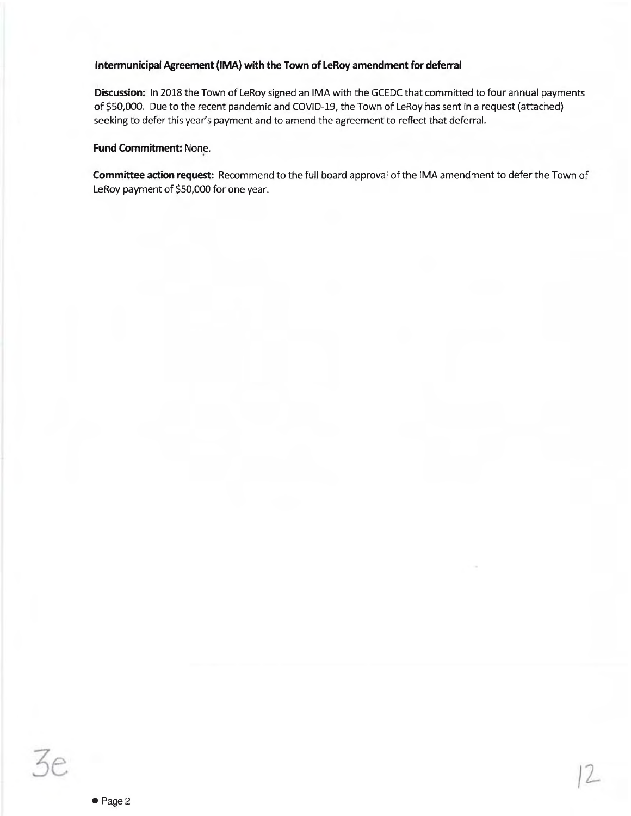# Intermunicipal Agreement (IMA) with the Town of LeRoy amendment for deferral

Discussion: In 2018 the Town of LeRoy signed an IMA with the GCEDC that committed to four annual payments of \$50,000. Due to the recent pandemic and COVID-19, the Town of LeRoy has sent in a request (attached) seeking to defer this year's payment and to amend the agreement to reflect that deferral.

# **Fund Commitment: None.**

Committee action request: Recommend to the full board approval of the IMA amendment to defer the Town of LeRoy payment of \$50,000 for one year.